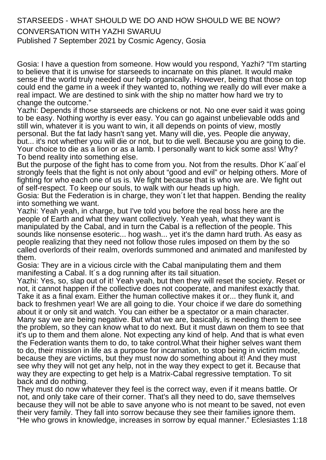## STARSEEDS - WHAT SHOULD WE DO AND HOW SHOULD WE BE NOW? CONVERSATION WITH YAZHI SWARUU

Published 7 September 2021 by Cosmic Agency, Gosia

Gosia: I have a question from someone. How would you respond, Yazhi? "I'm starting to believe that it is unwise for starseeds to incarnate on this planet. It would make sense if the world truly needed our help organically. However, being that those on top could end the game in a week if they wanted to, nothing we really do will ever make a real impact. We are destined to sink with the ship no matter how hard we try to change the outcome."

Yazhi: Depends if those starseeds are chickens or not. No one ever said it was going to be easy. Nothing worthy is ever easy. You can go against unbelievable odds and still win, whatever it is you want to win, it all depends on points of view, mostly personal. But the fat lady hasn't sang yet. Many will die, yes. People die anyway, but... it's not whether you will die or not, but to die well. Because you are going to die. Your choice to die as a lion or as a lamb. I personally want to kick some ass! Why? To bend reality into something else.

But the purpose of the fight has to come from you. Not from the results. Dhor K´aal´el strongly feels that the fight is not only about "good and evil" or helping others. More of fighting for who each one of us is. We fight because that is who we are. We fight out of self-respect. To keep our souls, to walk with our heads up high.

Gosia: But the Federation is in charge, they won´t let that happen. Bending the reality into something we want.

Yazhi: Yeah yeah, in charge, but I've told you before the real boss here are the people of Earth and what they want collectively. Yeah yeah, what they want is manipulated by the Cabal, and in turn the Cabal is a reflection of the people. This sounds like nonsense esoteric... hog wash... yet it's the damn hard truth. As easy as people realizing that they need not follow those rules imposed on them by the so called overlords of their realm, overlords summoned and animated and manifested by them.

Gosia: They are in a vicious circle with the Cabal manipulating them and them manifesting a Cabal. It´s a dog running after its tail situation.

Yazhi: Yes, so, slap out of it! Yeah yeah, but then they will reset the society. Reset or not, it cannot happen if the collective does not cooperate, and manifest exactly that. Take it as a final exam. Either the human collective makes it or... they flunk it, and back to freshmen year! We are all going to die. Your choice if we dare do something about it or only sit and watch. You can either be a spectator or a main character. Many say we are being negative. But what we are, basically, is needing them to see the problem, so they can know what to do next. But it must dawn on them to see that it's up to them and them alone. Not expecting any kind of help. And that is what even the Federation wants them to do, to take control.What their higher selves want them to do, their mission in life as a purpose for incarnation, to stop being in victim mode, because they are victims, but they must now do something about it! And they must see why they will not get any help, not in the way they expect to get it. Because that way they are expecting to get help is a Matrix-Cabal regressive temptation. To sit back and do nothing.

They must do now whatever they feel is the correct way, even if it means battle. Or not, and only take care of their corner. That's all they need to do, save themselves because they will not be able to save anyone who is not meant to be saved, not even their very family. They fall into sorrow because they see their families ignore them. "He who grows in knowledge, increases in sorrow by equal manner." Eclesiastes 1:18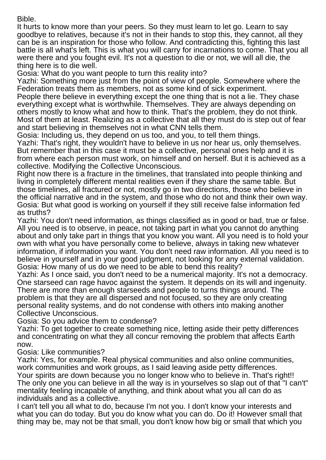## Bible.

It hurts to know more than your peers. So they must learn to let go. Learn to say goodbye to relatives, because it's not in their hands to stop this, they cannot, all they can be is an inspiration for those who follow. And contradicting this, fighting this last battle is all what's left. This is what you will carry for incarnations to come. That you all were there and you fought evil. It's not a question to die or not, we will all die, the thing here is to die well.

Gosia: What do you want people to turn this reality into?

Yazhi: Something more just from the point of view of people. Somewhere where the Federation treats them as members, not as some kind of sick experiment.

People there believe in everything except the one thing that is not a lie. They chase everything except what is worthwhile. Themselves. They are always depending on others mostly to know what and how to think. That's the problem, they do not think. Most of them at least. Realizing as a collective that all they must do is step out of fear and start believing in themselves not in what CNN tells them.

Gosia: Including us, they depend on us too, and you, to tell them things.

Yazhi: That's right, they wouldn't have to believe in us nor hear us, only themselves. But remember that in this case it must be a collective, personal ones help and it is from where each person must work, on himself and on herself. But it is achieved as a collective. Modifying the Collective Unconscious.

Right now there is a fracture in the timelines, that translated into people thinking and living in completely different mental realities even if they share the same table. But those timelines, all fractured or not, mostly go in two directions, those who believe in the official narrative and in the system, and those who do not and think their own way. Gosia: But what good is working on yourself if they still receive false information fed as truths?

Yazhi: You don't need information, as things classified as in good or bad, true or false. All you need is to observe, in peace, not taking part in what you cannot do anything about and only take part in things that you know you want. All you need is to hold your own with what you have personally come to believe, always in taking new whatever information, if information you want. You don't need raw information. All you need is to believe in yourself and in your good judgment, not looking for any external validation. Gosia: How many of us do we need to be able to bend this reality?

Yazhi: As I once said, you don't need to be a numerical majority. It's not a democracy. One starseed can rage havoc against the system. It depends on its will and ingenuity. There are more than enough starseeds and people to turns things around. The problem is that they are all dispersed and not focused, so they are only creating personal reality systems, and do not condense with others into making another Collective Unconscious.

Gosia: So you advice them to condense?

Yazhi: To get together to create something nice, letting aside their petty differences and concentrating on what they all concur removing the problem that affects Earth now.

Gosia: Like communities?

Yazhi: Yes, for example. Real physical communities and also online communities, work communities and work groups, as I said leaving aside petty differences. Your spirits are down because you no longer know who to believe in. That's right!! The only one you can believe in all the way is in yourselves so slap out of that "I can't" mentality feeling incapable of anything, and think about what you all can do as individuals and as a collective.

I can't tell you all what to do, because I'm not you. I don't know your interests and what you can do today. But you do know what you can do. Do it! However small that thing may be, may not be that small, you don't know how big or small that which you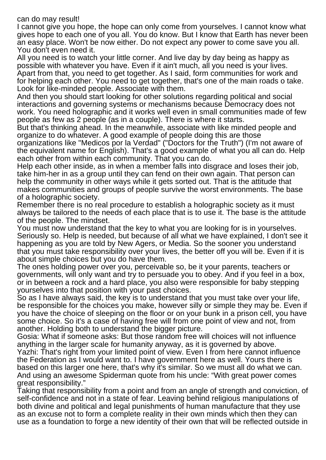## can do may result!

I cannot give you hope, the hope can only come from yourselves. I cannot know what gives hope to each one of you all. You do know. But I know that Earth has never been an easy place. Won't be now either. Do not expect any power to come save you all. You don't even need it.

All you need is to watch your little corner. And live day by day being as happy as possible with whatever you have. Even if it ain't much, all you need is your lives. Apart from that, you need to get together. As I said, form communities for work and for helping each other. You need to get together, that's one of the main roads o take. Look for like-minded people. Associate with them.

And then you should start looking for other solutions regarding political and social interactions and governing systems or mechanisms because Democracy does not work. You need holographic and it works well even in small communities made of few people as few as 2 people (as in a couple). There is where it starts.

But that's thinking ahead. In the meanwhile, associate with like minded people and organize to do whatever. A good example of people doing this are those organizations like "Medicos por la Verdad" ("Doctors for the Truth") (I'm not aware of the equivalent name for English). That's a good example of what you all can do. Help each other from within each community. That you can do.

Help each other inside, as in when a member falls into disgrace and loses their job, take him-her in as a group until they can fend on their own again. That person can help the community in other ways while it gets sorted out. That is the attitude that makes communities and groups of people survive the worst environments. The base of a holographic society.

Remember there is no real procedure to establish a holographic society as it must always be tailored to the needs of each place that is to use it. The base is the attitude of the people. The mindset.

You must now understand that the key to what you are looking for is in yourselves. Seriously so. Help is needed, but because of all what we have explained, I don't see it happening as you are told by New Agers, or Media. So the sooner you understand that you must take responsibility over your lives, the better off you will be. Even if it is about simple choices but you do have them.

The ones holding power over you, perceivable so, be it your parents, teachers or governments, will only want and try to persuade you to obey. And if you feel in a box, or in between a rock and a hard place, you also were responsible for baby stepping yourselves into that position with your past choices.

So as I have always said, the key is to understand that you must take over your life, be responsible for the choices you make, however silly or simple they may be. Even if you have the choice of sleeping on the floor or on your bunk in a prison cell, you have some choice. So it's a case of having free will from one point of view and not, from another. Holding both to understand the bigger picture.

Gosia: What if someone asks: But those random free will choices will not influence anything in the larger scale for humanity anyway, as it is governed by above. Yazhi: That's right from your limited point of view. Even I from here cannot influence the Federation as I would want to. I have government here as well. Yours there is based on this larger one here, that's why it's similar. So we must all do what we can. And using an awesome Spiderman quote from his uncle: "With great power comes great responsibility."

Taking that responsibility from a point and from an angle of strength and conviction, of self-confidence and not in a state of fear. Leaving behind religious manipulations of both divine and political and legal punishments of human manufacture that they use as an excuse not to form a complete reality in their own minds which then they can use as a foundation to forge a new identity of their own that will be reflected outside in